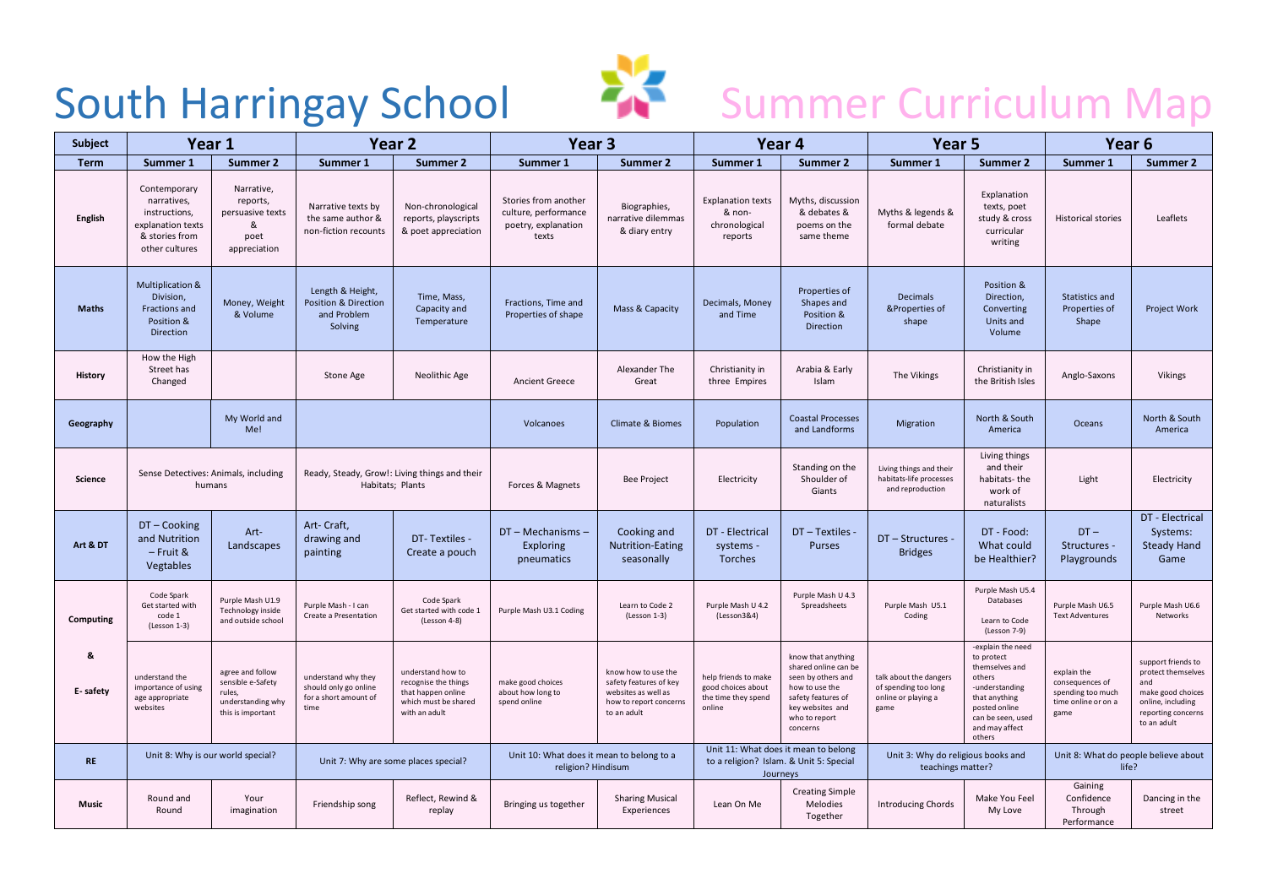

## South Harringay School 23 Summer Curriculum Map

| <b>Subject</b> | Year 1                                                                                                |                                                                                           | Year <sub>2</sub>                                                             |                                                                                                          | Year <sub>3</sub>                                                            |                                                                                                               | Year 4                                                                                      |                                                                                                                                                           | Year <sub>5</sub>                                                             |                                                                                                                                                                  | Year <sub>6</sub>                                                                  |                                                                                                                                |
|----------------|-------------------------------------------------------------------------------------------------------|-------------------------------------------------------------------------------------------|-------------------------------------------------------------------------------|----------------------------------------------------------------------------------------------------------|------------------------------------------------------------------------------|---------------------------------------------------------------------------------------------------------------|---------------------------------------------------------------------------------------------|-----------------------------------------------------------------------------------------------------------------------------------------------------------|-------------------------------------------------------------------------------|------------------------------------------------------------------------------------------------------------------------------------------------------------------|------------------------------------------------------------------------------------|--------------------------------------------------------------------------------------------------------------------------------|
| <b>Term</b>    | Summer 1                                                                                              | <b>Summer 2</b>                                                                           | Summer 1                                                                      | <b>Summer 2</b>                                                                                          | Summer 1                                                                     | <b>Summer 2</b>                                                                                               | Summer 1                                                                                    | Summer 2                                                                                                                                                  | Summer 1                                                                      | Summer 2                                                                                                                                                         | Summer 1                                                                           | Summer 2                                                                                                                       |
| English        | Contemporary<br>narratives,<br>instructions,<br>explanation texts<br>& stories from<br>other cultures | Narrative,<br>reports,<br>persuasive texts<br>ጼ<br>poet<br>appreciation                   | Narrative texts by<br>the same author &<br>non-fiction recounts               | Non-chronological<br>reports, playscripts<br>& poet appreciation                                         | Stories from another<br>culture, performance<br>poetry, explanation<br>texts | Biographies,<br>narrative dilemmas<br>& diary entry                                                           | <b>Explanation texts</b><br>& non-<br>chronological<br>reports                              | Myths, discussion<br>& debates &<br>poems on the<br>same theme                                                                                            | Myths & legends &<br>formal debate                                            | Explanation<br>texts, poet<br>study & cross<br>curricular<br>writing                                                                                             | <b>Historical stories</b>                                                          | Leaflets                                                                                                                       |
| <b>Maths</b>   | Multiplication &<br>Division,<br>Fractions and<br>Position &<br>Direction                             | Money, Weight<br>& Volume                                                                 | Length & Height,<br><b>Position &amp; Direction</b><br>and Problem<br>Solving | Time, Mass,<br>Capacity and<br>Temperature                                                               | Fractions, Time and<br>Properties of shape                                   | Mass & Capacity                                                                                               | Decimals, Money<br>and Time                                                                 | Properties of<br>Shapes and<br>Position &<br>Direction                                                                                                    | Decimals<br>&Properties of<br>shape                                           | Position &<br>Direction,<br>Converting<br>Units and<br>Volume                                                                                                    | Statistics and<br>Properties of<br>Shape                                           | Project Work                                                                                                                   |
| <b>History</b> | How the High<br>Street has<br>Changed                                                                 |                                                                                           | Stone Age                                                                     | Neolithic Age                                                                                            | <b>Ancient Greece</b>                                                        | Alexander The<br>Great                                                                                        | Christianity in<br>three Empires                                                            | Arabia & Early<br>Islam                                                                                                                                   | The Vikings                                                                   | Christianity in<br>the British Isles                                                                                                                             | Anglo-Saxons                                                                       | Vikings                                                                                                                        |
| Geography      |                                                                                                       | My World and<br>Me!                                                                       |                                                                               |                                                                                                          | Volcanoes                                                                    | Climate & Biomes                                                                                              | Population                                                                                  | <b>Coastal Processes</b><br>and Landforms                                                                                                                 | Migration                                                                     | North & South<br>America                                                                                                                                         | Oceans                                                                             | North & South<br>America                                                                                                       |
| Science        | Sense Detectives: Animals, including<br>humans                                                        |                                                                                           | Ready, Steady, Grow!: Living things and their<br>Habitats; Plants             |                                                                                                          | Forces & Magnets                                                             | Bee Project                                                                                                   | Electricity                                                                                 | Standing on the<br>Shoulder of<br>Giants                                                                                                                  | Living things and their<br>habitats-life processes<br>and reproduction        | Living things<br>and their<br>habitats-the<br>work of<br>naturalists                                                                                             | Light                                                                              | Electricity                                                                                                                    |
| Art & DT       | DT-Cooking<br>and Nutrition<br>- Fruit &<br>Vegtables                                                 | Art-<br>Landscapes                                                                        | Art-Craft,<br>drawing and<br>painting                                         | DT-Textiles -<br>Create a pouch                                                                          | DT - Mechanisms -<br>Exploring<br>pneumatics                                 | Cooking and<br><b>Nutrition-Eating</b><br>seasonally                                                          | DT - Electrical<br>systems -<br>Torches                                                     | DT - Textiles -<br>Purses                                                                                                                                 | DT - Structures -<br><b>Bridges</b>                                           | DT - Food:<br>What could<br>be Healthier?                                                                                                                        | $DT -$<br>Structures -<br>Playgrounds                                              | DT - Electrical<br>Systems:<br><b>Steady Hand</b><br>Game                                                                      |
| Computing      | Code Spark<br>Get started with<br>code 1<br>(Lesson 1-3)                                              | Purple Mash U1.9<br>Technology inside<br>and outside school                               | Purple Mash - I can<br>Create a Presentation                                  | Code Spark<br>Get started with code 1<br>(Lesson 4-8)                                                    | Purple Mash U3.1 Coding                                                      | Learn to Code 2<br>$($ Lesson 1-3 $)$                                                                         | Purple Mash U 4.2<br>(Lesson3&4)                                                            | Purple Mash U 4.3<br>Spreadsheets                                                                                                                         | Purple Mash U5.1<br>Coding                                                    | Purple Mash U5.4<br>Databases<br>Learn to Code<br>(Lesson 7-9)                                                                                                   | Purple Mash U6.5<br><b>Text Adventures</b>                                         | Purple Mash U6.6<br>Networks                                                                                                   |
| 8<br>E-safety  | understand the<br>importance of using<br>age appropriate<br>websites                                  | agree and follow<br>sensible e-Safety<br>rules,<br>understanding why<br>this is important | understand why they<br>should only go online<br>for a short amount of<br>time | understand how to<br>recognise the things<br>that happen online<br>which must be shared<br>with an adult | make good choices<br>about how long to<br>spend online                       | know how to use the<br>safety features of key<br>websites as well as<br>how to report concerns<br>to an adult | help friends to make<br>good choices about<br>the time they spend<br>online                 | know that anything<br>shared online can be<br>seen by others and<br>how to use the<br>safety features of<br>key websites and<br>who to report<br>concerns | talk about the dangers<br>of spending too long<br>online or playing a<br>game | -explain the need<br>to protect<br>themselves and<br>others<br>-understanding<br>that anything<br>posted online<br>can be seen, used<br>and may affect<br>others | explain the<br>consequences of<br>spending too much<br>time online or on a<br>game | support friends to<br>protect themselves<br>and<br>make good choices<br>online, including<br>reporting concerns<br>to an adult |
| <b>RE</b>      | Unit 8: Why is our world special?                                                                     |                                                                                           | Unit 7: Why are some places special?                                          |                                                                                                          | Unit 10: What does it mean to belong to a<br>religion? Hindisum              |                                                                                                               | Unit 11: What does it mean to belong<br>to a religion? Islam. & Unit 5: Special<br>Journeys |                                                                                                                                                           | Unit 3: Why do religious books and<br>teachings matter?                       |                                                                                                                                                                  | Unit 8: What do people believe about<br>life?                                      |                                                                                                                                |
| <b>Music</b>   | Round and<br>Round                                                                                    | Your<br>imagination                                                                       | Friendship song                                                               | Reflect, Rewind &<br>replay                                                                              | Bringing us together                                                         | <b>Sharing Musical</b><br>Experiences                                                                         | Lean On Me                                                                                  | <b>Creating Simple</b><br>Melodies<br>Together                                                                                                            | <b>Introducing Chords</b>                                                     | Make You Feel<br>My Love                                                                                                                                         | Gaining<br>Confidence<br>Through<br>Performance                                    | Dancing in the<br>street                                                                                                       |